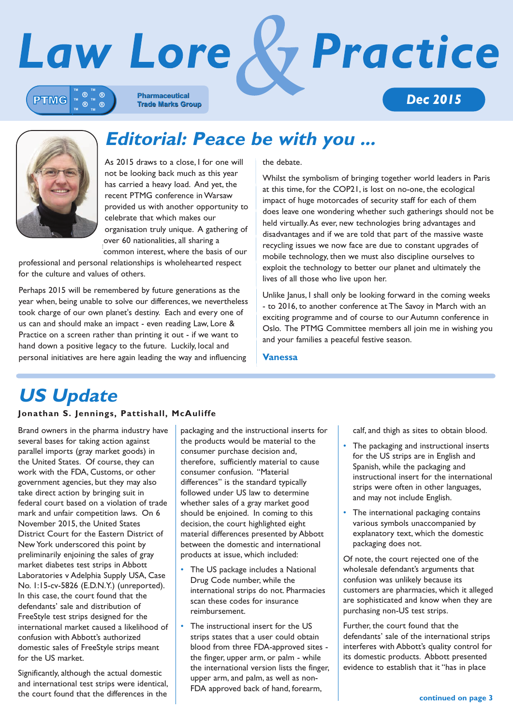

### **Editorial: Peace be with you ...**

As 2015 draws to a close, I for one will not be looking back much as this year has carried a heavy load. And yet, the recent PTMG conference in Warsaw t provided us with another opportunity to celebrate that which makes our organisation truly unique. A gathering of i over 60 nationalities, all sharing a over our nationalities, an sharing a ĺ  $\overline{a}$ 

professional and personal relationships is wholehearted respect for the culture and values of others. COMMON MILE EST, WHERE THE DASIS OF OUR<br>Common mile is a contract of the course of the course of the course of the course of the course of the course o prc

Perhaps 2015 will be remembered by future generations as the year when, being unable to solve our differences, we nevertheless took charge of our own planet's destiny. Each and every one of us can and should make an impact - even reading Law, Lore & Practice on a screen rather than printing it out - if we want to hand down a positive legacy to the future. Luckily, local and personal initiatives are here again leading the way and influencing c a positive legacy to the future. Luckily, local and

the debate. ľ

Whilst the symbolism of bringing together world leaders in Paris at this time, for the COP21, is lost on no-one, the ecological impact of huge motorcades of security staff for each of them does leave one wondering whether such gatherings should not be held virtually. As ever, new technologies bring advantages and disadvantages and if we are told that part of the massive waste recycling issues we now face are due to constant upgrades of mobile technology, then we must also discipline ourselves to exploit the technology to better our planet and ultimately the lives of all those who live upon her. Ī

Unlike Janus, I shall only be looking forward in the coming weeks - to 2016, to another conference at The Savoy in March with an exciting programme and of course to our Autumn conference in Oslo. The PTMG Committee members all join me in wishing you and your families a peaceful festive season. J

#### **Vanessa**

## **US Update**

distant and the second series of

### Jonathan S. Jennings, Pattishall, McAuliffe

Brand owners in the pharma industry have several bases for taking action against parallel imports (gray market goods) in the United States. Of course, they can work with the FDA, Customs, or other government agencies, but they may also take direct action by bringing suit in federal court based on a violation of trade mark and unfair competition laws. On 6 November 2015, the United States District Court for the Eastern District of New York underscored this point by preliminarily enjoining the sales of gray market diabetes test strips in Abbott Laboratories v Adelphia Supply USA, Case No. 1:15-cv-5826 (E.D.N.Y.) (unreported). In this case, the court found that the defendants' sale and distribution of FreeStyle test strips designed for the international market caused a likelihood of confusion with Abbott's authorized domestic sales of FreeStyle strips meant for the US market. Ì l Ï j

Significantly, although the actual domestic and international test strips were identical, the court found that the differences in the

packaging and the instructional inserts for the products would be material to the consumer purchase decision and, therefore, sufficiently material to cause consumer confusion. "Material differences" is the standard typically followed under US law to determine whether sales of a gray market good should be enjoined. In coming to this decision, the court highlighted eight material differences presented by Abbott between the domestic and international products at issue, which included: Ï

- The US package includes a National Drug Code number, while the international strips do not. Pharmacies scan these codes for insurance reimbursement.  $\overline{a}$ Ĭ
- The instructional insert for the US strips states that a user could obtain blood from three FDA-approved sites the finger, upper arm, or palm - while the international version lists the finger, upper arm, and palm, as well as non- FDA approved back of hand, forearm, ໍ

calf, and thigh as sites to obtain blood.

- The packaging and instructional inserts for the US strips are in English and Spanish, while the packaging and instructional insert for the international strips were often in other languages, and may not include English.
- The international packaging contains various symbols unaccompanied by explanatory text, which the domestic packaging does not.

Of note, the court rejected one of the wholesale defendant's arguments that confusion was unlikely because its customers are pharmacies, which it alleged are sophisticated and know when they are purchasing non-US test strips. S

Further, the court found that the defendants' sale of the international strips interferes with Abbott's quality control for its domestic products. Abbott presented evidence to establish that it "has in place ľ Ē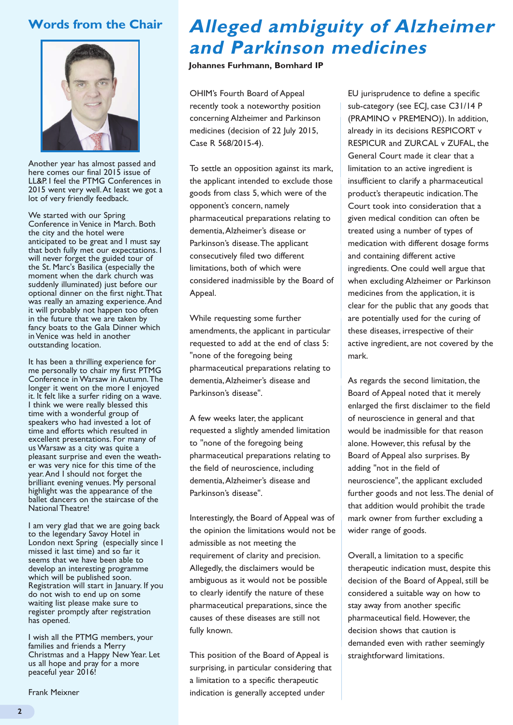### **Words from the Chair**



Another year has almost passed and here comes our final 2015 issue of LL&P. I feel the PTMG Conferences in 2015 went very well. At least we got a lot of very friendly feedback.

We started with our Spring Conference in Venice in March. Both the city and the hotel were anticipated to be great and I must say that both fully met our expectations. I will never forget the guided tour of the St. Marc's Basilica (especially the moment when the dark church was suddenly illuminated) just before our optional dinner on the first night. That was really an amazing experience. And it will probably not happen too often in the future that we are taken by fancy boats to the Gala Dinner which in Venice was held in another outstanding location.

It has been a thrilling experience for me personally to chair my first PTMG Conference in Warsaw in Autumn. The longer it went on the more I enjoyed it. It felt like a surfer riding on a wave. I think we were really blessed this time with a wonderful group of speakers who had invested a lot of time and efforts which resulted in excellent presentations. For many of us Warsaw as a city was quite a pleasant surprise and even the weather was very nice for this time of the year. And I should not forget the brilliant evening venues. My personal highlight was the appearance of the ballet dancers on the staircase of the National Theatre!

I am very glad that we are going back to the legendary Savoy Hotel in London next Spring (especially since I missed it last time) and so far it seems that we have been able to develop an interesting programme which will be published soon. Registration will start in January. If you do not wish to end up on some waiting list please make sure to register promptly after registration has opened.

I wish all the PTMG members, your families and friends a Merry Christmas and a Happy New Year. Let us all hope and pray for a more peaceful year 2016!

Frank Meixner

## **Alleged ambiguity of Alzheimer and Parkinson medicines**

**Johannes Furhmann, Bomhard IP**

OHIM's Fourth Board of Appeal recently took a noteworthy position concerning Alzheimer and Parkinson medicines (decision of 22 July 2015, Case R 568/2015-4).

To settle an opposition against its mark, the applicant intended to exclude those goods from class 5, which were of the opponent's concern, namely pharmaceutical preparations relating to dementia, Alzheimer's disease or Parkinson's disease. The applicant consecutively filed two different limitations, both of which were considered inadmissible by the Board of Appeal.

While requesting some further amendments, the applicant in particular requested to add at the end of class 5: "none of the foregoing being pharmaceutical preparations relating to dementia, Alzheimer's disease and Parkinson's disease".

A few weeks later, the applicant requested a slightly amended limitation to "none of the foregoing being pharmaceutical preparations relating to the field of neuroscience, including dementia, Alzheimer's disease and Parkinson's disease".

Interestingly, the Board of Appeal was of the opinion the limitations would not be admissible as not meeting the requirement of clarity and precision. Allegedly, the disclaimers would be ambiguous as it would not be possible to clearly identify the nature of these pharmaceutical preparations, since the causes of these diseases are still not fully known.

This position of the Board of Appeal is surprising, in particular considering that a limitation to a specific therapeutic indication is generally accepted under

EU jurisprudence to define a specific sub-category (see ECJ, case C31/14 P (PRAMINO v PREMENO)). In addition, already in its decisions RESPICORT v RESPICUR and ZURCAL v ZUFAL, the General Court made it clear that a limitation to an active ingredient is insufficient to clarify a pharmaceutical product's therapeutic indication. The Court took into consideration that a given medical condition can often be treated using a number of types of medication with different dosage forms and containing different active ingredients. One could well argue that when excluding Alzheimer or Parkinson medicines from the application, it is clear for the public that any goods that are potentially used for the curing of these diseases, irrespective of their active ingredient, are not covered by the mark.

As regards the second limitation, the Board of Appeal noted that it merely enlarged the first disclaimer to the field of neuroscience in general and that would be inadmissible for that reason alone. However, this refusal by the Board of Appeal also surprises. By adding "not in the field of neuroscience", the applicant excluded further goods and not less. The denial of that addition would prohibit the trade mark owner from further excluding a wider range of goods.

Overall, a limitation to a specific therapeutic indication must, despite this decision of the Board of Appeal, still be considered a suitable way on how to stay away from another specific pharmaceutical field. However, the decision shows that caution is demanded even with rather seemingly straightforward limitations.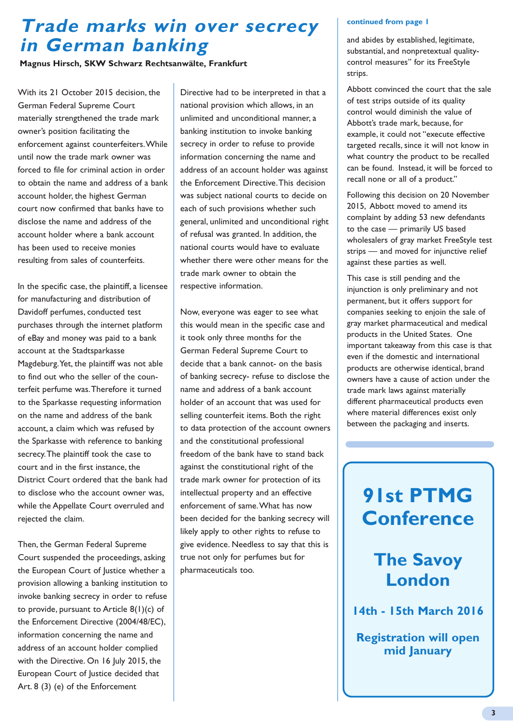### **Trade marks win over secrecy in German banking**

**Magnus Hirsch, SKW Schwarz Rechtsanwälte, Frankfurt**

With its 21 October 2015 decision, the German Federal Supreme Court materially strengthened the trade mark owner's position facilitating the enforcement against counterfeiters. While until now the trade mark owner was forced to file for criminal action in order to obtain the name and address of a bank account holder, the highest German court now confirmed that banks have to disclose the name and address of the account holder where a bank account has been used to receive monies resulting from sales of counterfeits.

In the specific case, the plaintiff, a licensee for manufacturing and distribution of Davidoff perfumes, conducted test purchases through the internet platform of eBay and money was paid to a bank account at the Stadtsparkasse Magdeburg. Yet, the plaintiff was not able to find out who the seller of the counterfeit perfume was. Therefore it turned to the Sparkasse requesting information on the name and address of the bank account, a claim which was refused by the Sparkasse with reference to banking secrecy. The plaintiff took the case to court and in the first instance, the District Court ordered that the bank had to disclose who the account owner was, while the Appellate Court overruled and rejected the claim.

Then, the German Federal Supreme Court suspended the proceedings, asking the European Court of Justice whether a provision allowing a banking institution to invoke banking secrecy in order to refuse to provide, pursuant to Article 8(1)(c) of the Enforcement Directive (2004/48/EC), information concerning the name and address of an account holder complied with the Directive. On 16 July 2015, the European Court of Justice decided that Art. 8 (3) (e) of the Enforcement

Directive had to be interpreted in that a national provision which allows, in an unlimited and unconditional manner, a banking institution to invoke banking secrecy in order to refuse to provide information concerning the name and address of an account holder was against the Enforcement Directive. This decision was subject national courts to decide on each of such provisions whether such general, unlimited and unconditional right of refusal was granted. In addition, the national courts would have to evaluate whether there were other means for the trade mark owner to obtain the respective information.

Now, everyone was eager to see what this would mean in the specific case and it took only three months for the German Federal Supreme Court to decide that a bank cannot- on the basis of banking secrecy- refuse to disclose the name and address of a bank account holder of an account that was used for selling counterfeit items. Both the right to data protection of the account owners and the constitutional professional freedom of the bank have to stand back against the constitutional right of the trade mark owner for protection of its intellectual property and an effective enforcement of same. What has now been decided for the banking secrecy will likely apply to other rights to refuse to give evidence. Needless to say that this is true not only for perfumes but for pharmaceuticals too.

#### **continued from page 1**

and abides by established, legitimate, substantial, and nonpretextual qualitycontrol measures" for its FreeStyle strips.

Abbott convinced the court that the sale of test strips outside of its quality control would diminish the value of Abbott's trade mark, because, for example, it could not "execute effective targeted recalls, since it will not know in what country the product to be recalled can be found. Instead, it will be forced to recall none or all of a product."

Following this decision on 20 November 2015, Abbott moved to amend its complaint by adding 53 new defendants to the case — primarily US based wholesalers of gray market FreeStyle test strips — and moved for injunctive relief against these parties as well.

This case is still pending and the injunction is only preliminary and not permanent, but it offers support for companies seeking to enjoin the sale of gray market pharmaceutical and medical products in the United States. One important takeaway from this case is that even if the domestic and international products are otherwise identical, brand owners have a cause of action under the trade mark laws against materially different pharmaceutical products even where material differences exist only between the packaging and inserts.

## **91st PTMG Conference**

### **The Savoy London**

**14th - 15th March 2016**

**Registration will open mid January**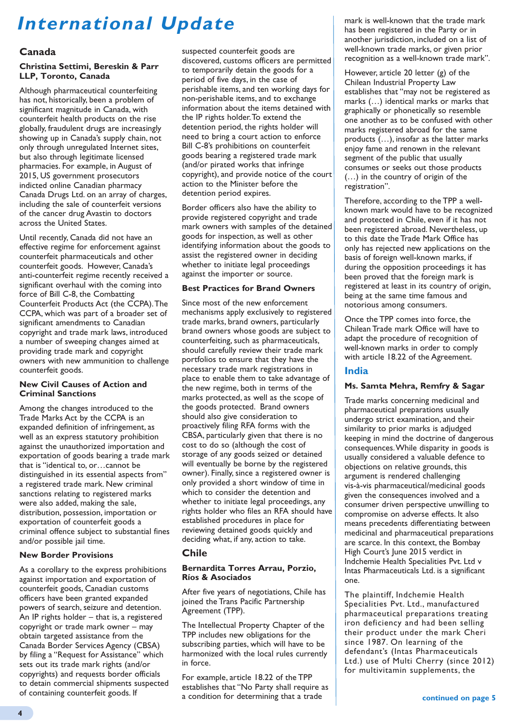# **International Update**

#### **Canada**

#### **Christina Settimi, Bereskin & Parr LLP, Toronto, Canada**

Although pharmaceutical counterfeiting has not, historically, been a problem of significant magnitude in Canada, with counterfeit health products on the rise globally, fraudulent drugs are increasingly showing up in Canada's supply chain, not only through unregulated Internet sites, but also through legitimate licensed pharmacies. For example, in August of 2015, US government prosecutors indicted online Canadian pharmacy Canada Drugs Ltd. on an array of charges, including the sale of counterfeit versions of the cancer drug Avastin to doctors across the United States.

Until recently, Canada did not have an effective regime for enforcement against counterfeit pharmaceuticals and other counterfeit goods. However, Canada's anti-counterfeit regime recently received a significant overhaul with the coming into force of Bill C-8, the Combatting Counterfeit Products Act (the CCPA). The CCPA, which was part of a broader set of significant amendments to Canadian copyright and trade mark laws, introduced a number of sweeping changes aimed at providing trade mark and copyright owners with new ammunition to challenge counterfeit goods.

#### **New Civil Causes of Action and Criminal Sanctions**

Among the changes introduced to the Trade Marks Act by the CCPA is an expanded definition of infringement, as well as an express statutory prohibition against the unauthorized importation and exportation of goods bearing a trade mark that is "identical to, or…cannot be distinguished in its essential aspects from" a registered trade mark. New criminal sanctions relating to registered marks were also added, making the sale, distribution, possession, importation or exportation of counterfeit goods a criminal offence subject to substantial fines and/or possible jail time.

#### **New Border Provisions**

As a corollary to the express prohibitions against importation and exportation of counterfeit goods, Canadian customs officers have been granted expanded powers of search, seizure and detention. An IP rights holder – that is, a registered copyright or trade mark owner – may obtain targeted assistance from the Canada Border Services Agency (CBSA) by filing a "Request for Assistance" which sets out its trade mark rights (and/or copyrights) and requests border officials to detain commercial shipments suspected of containing counterfeit goods. If

suspected counterfeit goods are discovered, customs officers are permitted to temporarily detain the goods for a period of five days, in the case of perishable items, and ten working days for non-perishable items, and to exchange information about the items detained with the IP rights holder. To extend the detention period, the rights holder will need to bring a court action to enforce Bill C-8's prohibitions on counterfeit goods bearing a registered trade mark (and/or pirated works that infringe copyright), and provide notice of the court action to the Minister before the detention period expires.

Border officers also have the ability to provide registered copyright and trade mark owners with samples of the detained goods for inspection, as well as other identifying information about the goods to assist the registered owner in deciding whether to initiate legal proceedings against the importer or source.

#### **Best Practices for Brand Owners**

Since most of the new enforcement mechanisms apply exclusively to registered trade marks, brand owners, particularly brand owners whose goods are subject to counterfeiting, such as pharmaceuticals, should carefully review their trade mark portfolios to ensure that they have the necessary trade mark registrations in place to enable them to take advantage of the new regime, both in terms of the marks protected, as well as the scope of the goods protected. Brand owners should also give consideration to proactively filing RFA forms with the CBSA, particularly given that there is no cost to do so (although the cost of storage of any goods seized or detained will eventually be borne by the registered owner). Finally, since a registered owner is only provided a short window of time in which to consider the detention and whether to initiate legal proceedings, any rights holder who files an RFA should have established procedures in place for reviewing detained goods quickly and deciding what, if any, action to take.

#### **Chile**

#### **Bernardita Torres Arrau, Porzio, Ríos & Asociados**

After five years of negotiations, Chile has joined the Trans Pacific Partnership Agreement (TPP).

The Intellectual Property Chapter of the TPP includes new obligations for the subscribing parties, which will have to be harmonized with the local rules currently in force.

For example, article 18.22 of the TPP establishes that "No Party shall require as a condition for determining that a trade

mark is well-known that the trade mark has been registered in the Party or in another jurisdiction, included on a list of well-known trade marks, or given prior recognition as a well-known trade mark".

However, article 20 letter (g) of the Chilean Industrial Property Law establishes that "may not be registered as marks (…) identical marks or marks that graphically or phonetically so resemble one another as to be confused with other marks registered abroad for the same products (…), insofar as the latter marks enjoy fame and renown in the relevant segment of the public that usually consumes or seeks out those products (…) in the country of origin of the registration".

Therefore, according to the TPP a wellknown mark would have to be recognized and protected in Chile, even if it has not been registered abroad. Nevertheless, up to this date the Trade Mark Office has only has rejected new applications on the basis of foreign well-known marks, if during the opposition proceedings it has been proved that the foreign mark is registered at least in its country of origin, being at the same time famous and notorious among consumers.

Once the TPP comes into force, the Chilean Trade mark Office will have to adapt the procedure of recognition of well-known marks in order to comply with article 18.22 of the Agreement.

#### **India**

#### **Ms. Samta Mehra, Remfry & Sagar**

Trade marks concerning medicinal and pharmaceutical preparations usually undergo strict examination, and their similarity to prior marks is adjudged keeping in mind the doctrine of dangerous consequences. While disparity in goods is usually considered a valuable defence to objections on relative grounds, this argument is rendered challenging vis-à-vis pharmaceutical/medicinal goods given the consequences involved and a consumer driven perspective unwilling to compromise on adverse effects. It also means precedents differentiating between medicinal and pharmaceutical preparations are scarce. In this context, the Bombay High Court's June 2015 verdict in Indchemie Health Specialities Pvt. Ltd v Intas Pharmaceuticals Ltd. is a significant one.

The plaintiff, Indchemie Health Specialities Pvt. Ltd., manufactured pharmaceutical preparations treating iron deficiency and had been selling their product under the mark Cheri since 1987. On learning of the defendant's (Intas Pharmaceuticals Ltd.) use of Multi Cherry (since 2012) for multivitamin supplements, the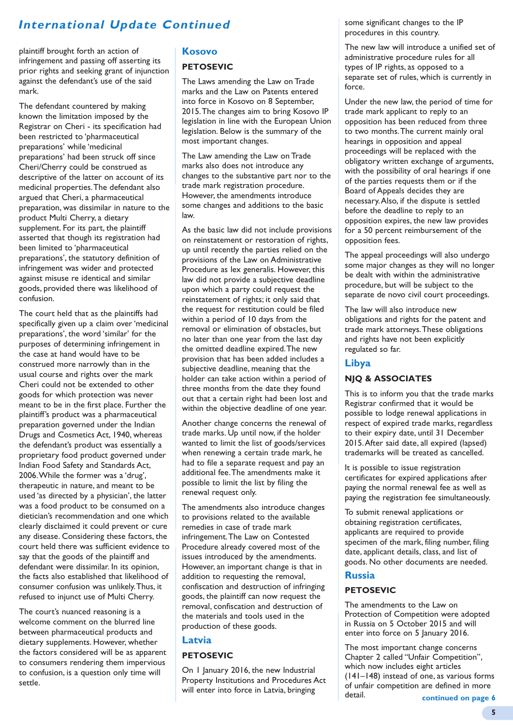### **International Update Continued**

plaintiff brought forth an action of infringement and passing off asserting its prior rights and seeking grant of injunction against the defendant's use of the said mark.

The defendant countered by making known the limitation imposed by the Registrar on Cheri - its specification had been restricted to 'pharmaceutical preparations' while 'medicinal preparations' had been struck off since Cheri/Cherry could be construed as descriptive of the latter on account of its medicinal properties. The defendant also argued that Cheri, a pharmaceutical preparation, was dissimilar in nature to the product Multi Cherry, a dietary supplement. For its part, the plaintiff asserted that though its registration had been limited to 'pharmaceutical preparations', the statutory definition of infringement was wider and protected against misuse re identical and similar goods, provided there was likelihood of confusion.

The court held that as the plaintiffs had specifically given up a claim over 'medicinal preparations', the word 'similar' for the purposes of determining infringement in the case at hand would have to be construed more narrowly than in the usual course and rights over the mark Cheri could not be extended to other goods for which protection was never meant to be in the first place. Further the plaintiff's product was a pharmaceutical preparation governed under the Indian Drugs and Cosmetics Act, 1940, whereas the defendant's product was essentially a proprietary food product governed under Indian Food Safety and Standards Act, 2006. While the former was a 'drug', therapeutic in nature, and meant to be used 'as directed by a physician', the latter was a food product to be consumed on a dietician's recommendation and one which clearly disclaimed it could prevent or cure any disease. Considering these factors, the court held there was sufficient evidence to say that the goods of the plaintiff and defendant were dissimilar. In its opinion, the facts also established that likelihood of consumer confusion was unlikely. Thus, it refused to injunct use of Multi Cherry.

The court's nuanced reasoning is a welcome comment on the blurred line between pharmaceutical products and dietary supplements. However, whether the factors considered will be as apparent to consumers rendering them impervious to confusion, is a question only time will settle.

#### **Kosovo**

#### **PETOSEVIC**

The Laws amending the Law on Trade marks and the Law on Patents entered into force in Kosovo on 8 September, 2015. The changes aim to bring Kosovo IP legislation in line with the European Union legislation. Below is the summary of the most important changes.

The Law amending the Law on Trade marks also does not introduce any changes to the substantive part nor to the trade mark registration procedure. However, the amendments introduce some changes and additions to the basic law.

As the basic law did not include provisions on reinstatement or restoration of rights, up until recently the parties relied on the provisions of the Law on Administrative Procedure as lex generalis. However, this law did not provide a subjective deadline upon which a party could request the reinstatement of rights; it only said that the request for restitution could be filed within a period of 10 days from the removal or elimination of obstacles, but no later than one year from the last day the omitted deadline expired. The new provision that has been added includes a subjective deadline, meaning that the holder can take action within a period of three months from the date they found out that a certain right had been lost and within the objective deadline of one year.

Another change concerns the renewal of trade marks. Up until now, if the holder wanted to limit the list of goods/services when renewing a certain trade mark, he had to file a separate request and pay an additional fee. The amendments make it possible to limit the list by filing the renewal request only.

The amendments also introduce changes to provisions related to the available remedies in case of trade mark infringement. The Law on Contested Procedure already covered most of the issues introduced by the amendments. However, an important change is that in addition to requesting the removal, confiscation and destruction of infringing goods, the plaintiff can now request the removal, confiscation and destruction of the materials and tools used in the production of these goods.

#### **Latvia**

#### **PETOSEVIC**

On 1 January 2016, the new Industrial Property Institutions and Procedures Act will enter into force in Latvia, bringing

some significant changes to the IP procedures in this country.

The new law will introduce a unified set of administrative procedure rules for all types of IP rights, as opposed to a separate set of rules, which is currently in force.

Under the new law, the period of time for trade mark applicant to reply to an opposition has been reduced from three to two months. The current mainly oral hearings in opposition and appeal proceedings will be replaced with the obligatory written exchange of arguments, with the possibility of oral hearings if one of the parties requests them or if the Board of Appeals decides they are necessary. Also, if the dispute is settled before the deadline to reply to an opposition expires, the new law provides for a 50 percent reimbursement of the opposition fees.

The appeal proceedings will also undergo some major changes as they will no longer be dealt with within the administrative procedure, but will be subject to the separate de novo civil court proceedings.

The law will also introduce new obligations and rights for the patent and trade mark attorneys. These obligations and rights have not been explicitly regulated so far.

#### **Libya**

#### **NJQ & ASSOCIATES**

This is to inform you that the trade marks Registrar confirmed that it would be possible to lodge renewal applications in respect of expired trade marks, regardless to their expiry date, until 31 December 2015. After said date, all expired (lapsed) trademarks will be treated as cancelled.

It is possible to issue registration certificates for expired applications after paying the normal renewal fee as well as paying the registration fee simultaneously.

To submit renewal applications or obtaining registration certificates, applicants are required to provide specimen of the mark, filing number, filing date, applicant details, class, and list of goods. No other documents are needed.

#### **Russia**

#### **PETOSEVIC**

The amendments to the Law on Protection of Competition were adopted in Russia on 5 October 2015 and will enter into force on 5 January 2016.

The most important change concerns Chapter 2 called "Unfair Competition", which now includes eight articles (141–148) instead of one, as various forms of unfair competition are defined in more detail.

**continued on page 6**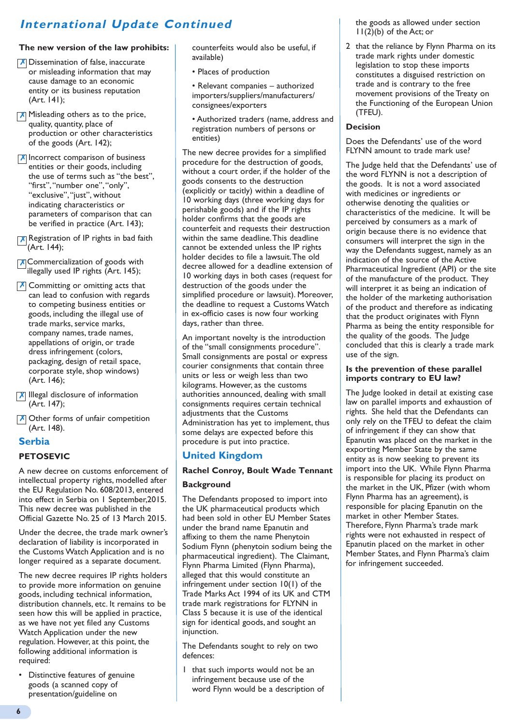### **International Update Continued**

#### **The new version of the law prohibits:**

- X Dissemination of false, inaccurate or misleading information that may cause damage to an economic entity or its business reputation (Art. 141);
- **X** Misleading others as to the price, quality, quantity, place of production or other characteristics of the goods (Art. 142);
- $\bar{x}$  Incorrect comparison of business entities or their goods, including the use of terms such as "the best", "first", "number one", "only", "exclusive", "just", without indicating characteristics or parameters of comparison that can be verified in practice (Art. 143);
- $\overline{x}$  Registration of IP rights in bad faith (Art. 144);
- **X**Commercialization of goods with illegally used IP rights (Art. 145);
- $\overline{X}$  Committing or omitting acts that can lead to confusion with regards to competing business entities or goods, including the illegal use of trade marks, service marks, company names, trade names, appellations of origin, or trade dress infringement (colors, packaging, design of retail space, corporate style, shop windows) (Art. 146);
- **X** Illegal disclosure of information (Art. 147);
- X Other forms of unfair competition (Art. 148).

#### **Serbia**

#### **PETOSEVIC**

A new decree on customs enforcement of intellectual property rights, modelled after the EU Regulation No. 608/2013, entered into effect in Serbia on 1 September,2015. This new decree was published in the Official Gazette No. 25 of 13 March 2015.

Under the decree, the trade mark owner's declaration of liability is incorporated in the Customs Watch Application and is no longer required as a separate document.

The new decree requires IP rights holders to provide more information on genuine goods, including technical information, distribution channels, etc. It remains to be seen how this will be applied in practice, as we have not yet filed any Customs Watch Application under the new regulation. However, at this point, the following additional information is required:

• Distinctive features of genuine goods (a scanned copy of presentation/guideline on

counterfeits would also be useful, if available)

- Places of production
- Relevant companies authorized importers/suppliers/manufacturers/ consignees/exporters
- Authorized traders (name, address and registration numbers of persons or entities)

The new decree provides for a simplified procedure for the destruction of goods, without a court order, if the holder of the goods consents to the destruction (explicitly or tacitly) within a deadline of 10 working days (three working days for perishable goods) and if the IP rights holder confirms that the goods are counterfeit and requests their destruction within the same deadline. This deadline cannot be extended unless the IP rights holder decides to file a lawsuit. The old decree allowed for a deadline extension of 10 working days in both cases (request for destruction of the goods under the simplified procedure or lawsuit). Moreover, the deadline to request a Customs Watch in ex-officio cases is now four working days, rather than three.

An important novelty is the introduction of the "small consignments procedure". Small consignments are postal or express courier consignments that contain three units or less or weigh less than two kilograms. However, as the customs authorities announced, dealing with small consignments requires certain technical adjustments that the Customs Administration has yet to implement, thus some delays are expected before this procedure is put into practice.

#### **United Kingdom**

#### **Rachel Conroy, Boult Wade Tennant**

#### **Background**

The Defendants proposed to import into the UK pharmaceutical products which had been sold in other EU Member States under the brand name Epanutin and affixing to them the name Phenytoin Sodium Flynn (phenytoin sodium being the pharmaceutical ingredient). The Claimant, Flynn Pharma Limited (Flynn Pharma), alleged that this would constitute an infringement under section 10(1) of the Trade Marks Act 1994 of its UK and CTM trade mark registrations for FLYNN in Class 5 because it is use of the identical sign for identical goods, and sought an injunction.

The Defendants sought to rely on two defences:

1 that such imports would not be an infringement because use of the word Flynn would be a description of the goods as allowed under section 11(2)(b) of the Act; or

2 that the reliance by Flynn Pharma on its trade mark rights under domestic legislation to stop these imports constitutes a disguised restriction on trade and is contrary to the free movement provisions of the Treaty on the Functioning of the European Union (TFEU).

#### **Decision**

Does the Defendants' use of the word FLYNN amount to trade mark use?

The Judge held that the Defendants' use of the word FLYNN is not a description of the goods. It is not a word associated with medicines or ingredients or otherwise denoting the qualities or characteristics of the medicine. It will be perceived by consumers as a mark of origin because there is no evidence that consumers will interpret the sign in the way the Defendants suggest, namely as an indication of the source of the Active Pharmaceutical Ingredient (API) or the site of the manufacture of the product. They will interpret it as being an indication of the holder of the marketing authorisation of the product and therefore as indicating that the product originates with Flynn Pharma as being the entity responsible for the quality of the goods. The Judge concluded that this is clearly a trade mark use of the sign.

#### **Is the prevention of these parallel imports contrary to EU law?**

The Judge looked in detail at existing case law on parallel imports and exhaustion of rights. She held that the Defendants can only rely on the TFEU to defeat the claim of infringement if they can show that Epanutin was placed on the market in the exporting Member State by the same entity as is now seeking to prevent its import into the UK. While Flynn Pharma is responsible for placing its product on the market in the UK, Pfizer (with whom Flynn Pharma has an agreement), is responsible for placing Epanutin on the market in other Member States. Therefore, Flynn Pharma's trade mark rights were not exhausted in respect of Epanutin placed on the market in other Member States, and Flynn Pharma's claim for infringement succeeded.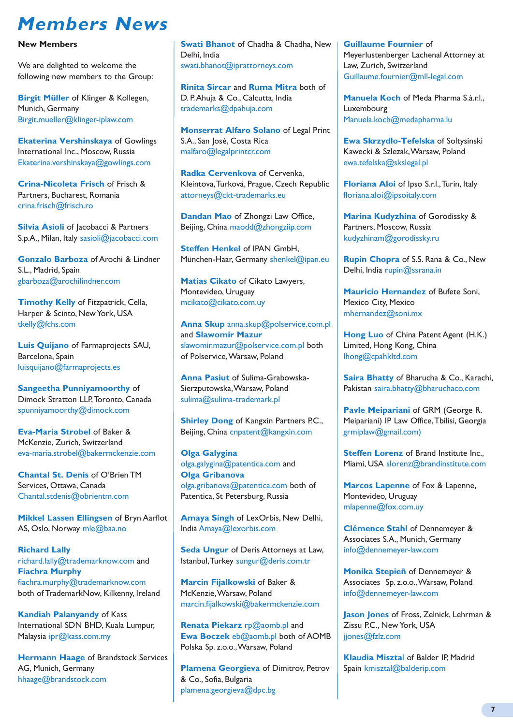### **Members News**

#### **New Members**

We are delighted to welcome the following new members to the Group:

**Birgit Müller** of Klinger & Kollegen, Munich, Germany Birgit.mueller@klinger-iplaw.com

**Ekaterina Vershinskaya** of Gowlings International Inc., Moscow, Russia Ekaterina.vershinskaya@gowlings.com

**Crina-Nicoleta Frisch** of Frisch & Partners, Bucharest, Romania crina.frisch@frisch.ro

**Silvia Asioli** of Jacobacci & Partners S.p.A., Milan, Italy sasioli@jacobacci.com

**Gonzalo Barboza** of Arochi & Lindner S.L., Madrid, Spain gbarboza@arochilindner.com

**Timothy Kelly** of Fitzpatrick, Cella, Harper & Scinto, New York, USA tkelly@fchs.com

**Luis Quijano** of Farmaprojects SAU, Barcelona, Spain luisquijano@farmaprojects.es

**Sangeetha Punniyamoorthy** of Dimock Stratton LLP, Toronto, Canada spunniyamoorthy@dimock.com

**Eva-Maria Strobel** of Baker & McKenzie, Zurich, Switzerland eva-maria.strobel@bakermckenzie.com

**Chantal St. Denis** of O'Brien TM Services, Ottawa, Canada Chantal.stdenis@obrientm.com

**Mikkel Lassen Ellingsen** of Bryn Aarflot AS, Oslo, Norway mle@baa.no

**Richard Lally** richard.lally@trademarknow.com and **Fiachra Murphy** fiachra.murphy@trademarknow.com both of TrademarkNow, Kilkenny, Ireland

**Kandiah Palanyandy** of Kass International SDN BHD, Kuala Lumpur, Malaysia ipr@kass.com.my

**Hermann Haage** of Brandstock Services AG, Munich, Germany hhaage@brandstock.com

**Swati Bhanot** of Chadha & Chadha, New Delhi, India swati.bhanot@iprattorneys.com

**Rinita Sircar** and **Ruma Mitra** both of D. P. Ahuja & Co., Calcutta, India trademarks@dpahuja.com

**Monserrat Alfaro Solano** of Legal Print S.A., San José, Costa Rica malfaro@legalprintcr.com

**Radka Cervenkova** of Cervenka, Kleintova, Turková, Prague, Czech Republic attorneys@ckt-trademarks.eu

**Dandan Mao** of Zhongzi Law Office, Beijing, China maodd@zhongzijp.com

**Steffen Henkel** of IPAN GmbH, München-Haar, Germany shenkel@ipan.eu

**Matias Cikato** of Cikato Lawyers, Montevideo, Uruguay mcikato@cikato.com.uy

**Anna Skup** anna.skup@polservice.com.pl and **Slawomir Mazur** slawomir.mazur@polservice.com.pl both of Polservice, Warsaw, Poland

**Anna Pasiut** of Sulima-Grabowska-Sierzputowska, Warsaw, Poland sulima@sulima-trademark.pl

**Shirley Dong** of Kangxin Partners P.C., Beijing, China cnpatent@kangxin.com

**Olga Galygina** olga.galygina@patentica.com and **Olga Gribanova**  olga.gribanova@patentica.com both of Patentica, St Petersburg, Russia

**Amaya Singh** of LexOrbis, New Delhi, India Amaya@lexorbis.com

**Seda Ungur** of Deris Attorneys at Law, Istanbul, Turkey sungur@deris.com.tr

**Marcin Fijalkowski of Baker &** McKenzie, Warsaw, Poland marcin.fijalkowski@bakermckenzie.com

**Renata Piekarz** rp@aomb.pl and **Ewa Boczek** eb@aomb.pl both of AOMB Polska Sp. z.o.o., Warsaw, Poland

**Plamena Georgieva** of Dimitrov, Petrov & Co., Sofia, Bulgaria plamena.georgieva@dpc.bg

**Guillaume Fournier** of Meyerlustenberger Lachenal Attorney at Law, Zurich, Switzerland Guillaume.fournier@mll-legal.com

**Manuela Koch** of Meda Pharma S.à.r.l., Luxembourg Manuela.koch@medapharma.lu

**Ewa Skrzydlo-Tefelska** of Soltysinski Kawecki & Szlezak, Warsaw, Poland ewa.tefelska@skslegal.pl

**Floriana Aloi** of Ipso S.r.l., Turin, Italy floriana.aloi@ipsoitaly.com

**Marina Kudyzhina** of Gorodissky & Partners, Moscow, Russia kudyzhinam@gorodissky.ru

**Rupin Chopra** of S.S. Rana & Co., New Delhi, India rupin@ssrana.in

**Mauricio Hernandez** of Bufete Soni, Mexico City, Mexico mhernandez@soni.mx

**Hong Luo** of China Patent Agent (H.K.) Limited, Hong Kong, China lhong@cpahkltd.com

**Saira Bhatty** of Bharucha & Co., Karachi, Pakistan saira.bhatty@bharuchaco.com

**Pavle Meipariani** of GRM (George R. Meipariani) IP Law Office, Tbilisi, Georgia grmiplaw@gmail.com)

**Steffen Lorenz of Brand Institute Inc.,** Miami, USA slorenz@brandinstitute.com

**Marcos Lapenne** of Fox & Lapenne, Montevideo, Uruguay mlapenne@fox.com.uy

**Clémence Stahl** of Dennemeyer & Associates S.A., Munich, Germany info@dennemeyer-law.com

**Monika Stepieñ** of Dennemeyer & Associates Sp. z.o.o., Warsaw, Poland info@dennemeyer-law.com

**Jason Jones** of Fross, Zelnick, Lehrman & Zissu P.C., New York, USA jjones@fzlz.com

**Klaudia Miszta**l of Balder IP, Madrid Spain kmisztal@balderip.com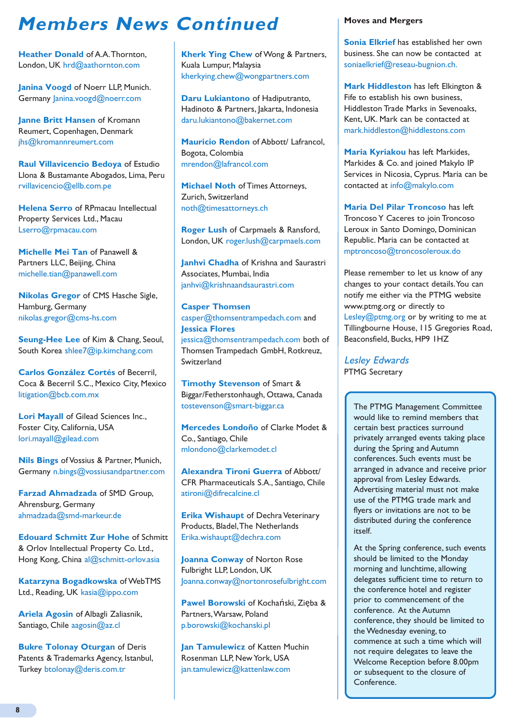### **Members News Continued**

**Heather Donald of A.A. Thornton,** London, UK hrd@aathornton.com

**Janina Voogd** of Noerr LLP, Munich. Germany *Janina.voogd@noerr.com* 

**Janne Britt Hansen** of Kromann Reumert, Copenhagen, Denmark jhs@kromannreumert.com

**Raul Villavicencio Bedoya** of Estudio Llona & Bustamante Abogados, Lima, Peru rvillavicencio@ellb.com.pe

**Helena Serro** of RPmacau Intellectual Property Services Ltd., Macau Lserro@rpmacau.com

**Michelle Mei Tan** of Panawell & Partners LLC, Beijing, China michelle.tian@panawell.com

**Nikolas Gregor** of CMS Hasche Sigle, Hamburg, Germany nikolas.gregor@cms-hs.com

**Seung-Hee Lee** of Kim & Chang, Seoul, South Korea shlee7@ip.kimchang.com

**Carlos González Cortés** of Becerril, Coca & Becerril S.C., Mexico City, Mexico litigation@bcb.com.mx

**Lori Mayall** of Gilead Sciences Inc., Foster City, California, USA lori.mayall@gilead.com

**Nils Bings** of Vossius & Partner, Munich, Germany n.bings@vossiusandpartner.com

**Farzad Ahmadzada** of SMD Group, Ahrensburg, Germany ahmadzada@smd-markeur.de

**Edouard Schmitt Zur Hohe** of Schmitt & Orlov Intellectual Property Co. Ltd., Hong Kong, China al@schmitt-orlov.asia

**Katarzyna Bogadkowska** of WebTMS Ltd., Reading, UK kasia@ippo.com

**Ariela Agosin** of Albagli Zaliasnik, Santiago, Chile aagosin@az.cl

**Bukre Tolonay Oturgan** of Deris Patents & Trademarks Agency, Istanbul, Turkey btolonay@deris.com.tr

**Kherk Ying Chew** of Wong & Partners, Kuala Lumpur, Malaysia kherkying.chew@wongpartners.com

**Daru Lukiantono** of Hadiputranto, Hadinoto & Partners, Jakarta, Indonesia daru.lukiantono@bakernet.com

**Mauricio Rendon** of Abbott/ Lafrancol, Bogota, Colombia mrendon@lafrancol.com

**Michael Noth** of Times Attorneys, Zurich, Switzerland noth@timesattorneys.ch

**Roger Lush** of Carpmaels & Ransford, London, UK roger.lush@carpmaels.com

**Janhvi Chadha** of Krishna and Saurastri Associates, Mumbai, India janhvi@krishnaandsaurastri.com

**Casper Thomsen** casper@thomsentrampedach.com and **Jessica Flores** jessica@thomsentrampedach.com both of Thomsen Trampedach GmbH, Rotkreuz, Switzerland

**Timothy Stevenson** of Smart & Biggar/Fetherstonhaugh, Ottawa, Canada tostevenson@smart-biggar.ca

**Mercedes Londoño** of Clarke Modet & Co., Santiago, Chile mlondono@clarkemodet.cl

**Alexandra Tironi Guerra** of Abbott/ CFR Pharmaceuticals S.A., Santiago, Chile atironi@difrecalcine.cl

**Erika Wishaupt** of Dechra Veterinary Products, Bladel, The Netherlands Erika.wishaupt@dechra.com

**Joanna Conway** of Norton Rose Fulbright LLP, London, UK Joanna.conway@nortonrosefulbright.com

**Pawel Borowski** of Kochański, Zięba & Partners, Warsaw, Poland p.borowski@kochanski.pl

**Jan Tamulewicz** of Katten Muchin Rosenman LLP, New York, USA jan.tamulewicz@kattenlaw.com

#### **Moves and Mergers**

**Sonia Elkrief** has established her own business. She can now be contacted at soniaelkrief@reseau-bugnion.ch.

**Mark Hiddleston** has left Elkington & Fife to establish his own business, Hiddleston Trade Marks in Sevenoaks, Kent, UK. Mark can be contacted at mark.hiddleston@hiddlestons.com

**Maria Kyriakou** has left Markides, Markides & Co. and joined Makylo IP Services in Nicosia, Cyprus. Maria can be contacted at info@makylo.com

**Maria Del Pilar Troncoso** has left Troncoso Y Caceres to join Troncoso Leroux in Santo Domingo, Dominican Republic. Maria can be contacted at mptroncoso@troncosoleroux.do

Please remember to let us know of any changes to your contact details. You can notify me either via the PTMG website www.ptmg.org or directly to Lesley@ptmg.org or by writing to me at Tillingbourne House, 115 Gregories Road, Beaconsfield, Bucks, HP9 1HZ

Lesley Edwards PTMG Secretary

> The PTMG Management Committee would like to remind members that certain best practices surround privately arranged events taking place during the Spring and Autumn conferences. Such events must be arranged in advance and receive prior approval from Lesley Edwards. Advertising material must not make use of the PTMG trade mark and flyers or invitations are not to be distributed during the conference itself.

> At the Spring conference, such events should be limited to the Monday morning and lunchtime, allowing delegates sufficient time to return to the conference hotel and register prior to commencement of the conference. At the Autumn conference, they should be limited to the Wednesday evening, to commence at such a time which will not require delegates to leave the Welcome Reception before 8.00pm or subsequent to the closure of Conference.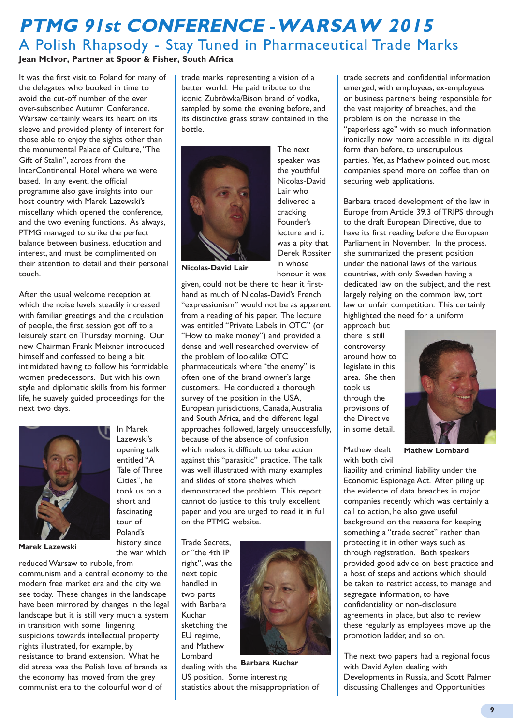### **PTMG 91st CONFERENCE** -**WARSAW 2015** A Polish Rhapsody - Stay Tuned in Pharmaceutical Trade Marks

**Jean McIvor, Partner at Spoor & Fisher, South Africa**

It was the first visit to Poland for many of the delegates who booked in time to avoid the cut-off number of the ever over-subscribed Autumn Conference. Warsaw certainly wears its heart on its sleeve and provided plenty of interest for those able to enjoy the sights other than the monumental Palace of Culture, "The Gift of Stalin", across from the InterContinental Hotel where we were based. In any event, the official programme also gave insights into our host country with Marek Lazewski's miscellany which opened the conference, and the two evening functions. As always, PTMG managed to strike the perfect balance between business, education and interest, and must be complimented on their attention to detail and their personal touch.

After the usual welcome reception at which the noise levels steadily increased with familiar greetings and the circulation of people, the first session got off to a leisurely start on Thursday morning. Our new Chairman Frank Meixner introduced himself and confessed to being a bit intimidated having to follow his formidable women predecessors. But with his own style and diplomatic skills from his former life, he suavely guided proceedings for the next two days.

> In Marek Lazewski's opening talk entitled "A Tale of Three Cities", he took us on a short and fascinating tour of Poland's history since the war which



**Marek Lazewski**

reduced Warsaw to rubble, from communism and a central economy to the modern free market era and the city we see today. These changes in the landscape have been mirrored by changes in the legal landscape but it is still very much a system in transition with some lingering suspicions towards intellectual property rights illustrated, for example, by resistance to brand extension. What he did stress was the Polish love of brands as the economy has moved from the grey communist era to the colourful world of

trade marks representing a vision of a better world. He paid tribute to the iconic Zubrõwka/Bison brand of vodka, sampled by some the evening before, and its distinctive grass straw contained in the bottle.



The next speaker was the youthful Nicolas-David Lair who delivered a cracking Founder's lecture and it was a pity that Derek Rossiter in whose honour it was

**Nicolas-David Lair**

given, could not be there to hear it firsthand as much of Nicolas-David's French "expressionism" would not be as apparent from a reading of his paper. The lecture was entitled "Private Labels in OTC" (or "How to make money") and provided a dense and well researched overview of the problem of lookalike OTC pharmaceuticals where "the enemy" is often one of the brand owner's large customers. He conducted a thorough survey of the position in the USA, European jurisdictions, Canada, Australia and South Africa, and the different legal approaches followed, largely unsuccessfully, because of the absence of confusion which makes it difficult to take action against this "parasitic" practice. The talk was well illustrated with many examples and slides of store shelves which demonstrated the problem. This report cannot do justice to this truly excellent paper and you are urged to read it in full on the PTMG website.

Trade Secrets, or "the 4th IP right", was the next topic handled in two parts with Barbara Kuchar sketching the EU regime, and Mathew Lombard



dealing with the **Barbara Kuchar** US position. Some interesting statistics about the misappropriation of trade secrets and confidential information emerged, with employees, ex-employees or business partners being responsible for the vast majority of breaches, and the problem is on the increase in the "paperless age" with so much information ironically now more accessible in its digital form than before, to unscrupulous parties. Yet, as Mathew pointed out, most companies spend more on coffee than on securing web applications.

Barbara traced development of the law in Europe from Article 39.3 of TRIPS through to the draft European Directive, due to have its first reading before the European Parliament in November. In the process, she summarized the present position under the national laws of the various countries, with only Sweden having a dedicated law on the subject, and the rest largely relying on the common law, tort law or unfair competition. This certainly highlighted the need for a uniform

approach but there is still controversy around how to legislate in this area. She then took us through the provisions of the Directive in some detail.



Mathew dealt with both civil **Mathew Lombard** 

liability and criminal liability under the Economic Espionage Act. After piling up the evidence of data breaches in major companies recently which was certainly a call to action, he also gave useful background on the reasons for keeping something a "trade secret" rather than protecting it in other ways such as through registration. Both speakers provided good advice on best practice and a host of steps and actions which should be taken to restrict access, to manage and segregate information, to have confidentiality or non-disclosure agreements in place, but also to review these regularly as employees move up the promotion ladder, and so on.

The next two papers had a regional focus with David Aylen dealing with Developments in Russia, and Scott Palmer discussing Challenges and Opportunities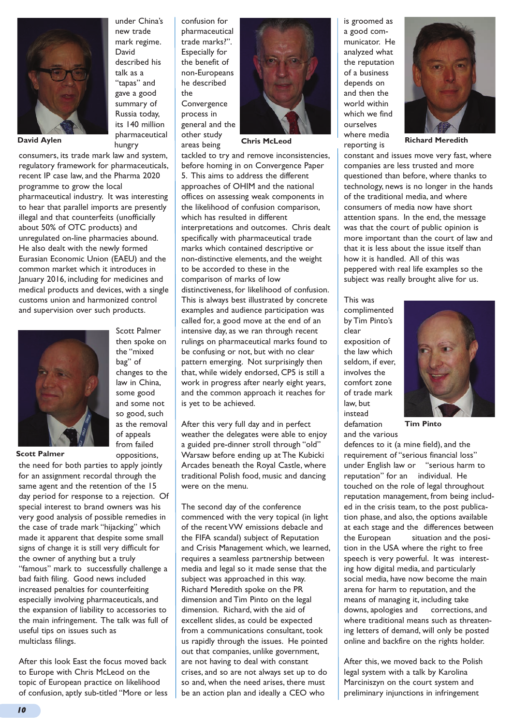

**David Aylen** 

consumers, its trade mark law and system, regulatory framework for pharmaceuticals, recent IP case law, and the Pharma 2020 programme to grow the local pharmaceutical industry. It was interesting to hear that parallel imports are presently illegal and that counterfeits (unofficially about 50% of OTC products) and unregulated on-line pharmacies abound. He also dealt with the newly formed Eurasian Economic Union (EAEU) and the common market which it introduces in January 2016, including for medicines and medical products and devices, with a single customs union and harmonized control and supervision over such products.



then spoke on the "mixed bag" of changes to the law in China, some good and some not so good, such as the removal of appeals from failed oppositions,

Scott Palmer

**Scott Palmer**

the need for both parties to apply jointly for an assignment recordal through the same agent and the retention of the 15 day period for response to a rejection. Of special interest to brand owners was his very good analysis of possible remedies in the case of trade mark "hijacking" which made it apparent that despite some small signs of change it is still very difficult for the owner of anything but a truly "famous" mark to successfully challenge a bad faith filing. Good news included increased penalties for counterfeiting especially involving pharmaceuticals, and the expansion of liability to accessories to the main infringement. The talk was full of useful tips on issues such as multiclass filings.

After this look East the focus moved back to Europe with Chris McLeod on the topic of European practice on likelihood of confusion, aptly sub-titled "More or less

under China's new trade mark regime. described his "tapas" and gave a good summary of Russia today, its 140 million pharmaceutical the

David

talk as a

hungry

confusion for pharmaceutical trade marks?". Especially for the benefit of non-Europeans he described Convergence process in general and the other study areas being



tackled to try and remove inconsistencies, before homing in on Convergence Paper 5. This aims to address the different approaches of OHIM and the national offices on assessing weak components in the likelihood of confusion comparison, which has resulted in different interpretations and outcomes. Chris dealt specifically with pharmaceutical trade marks which contained descriptive or non-distinctive elements, and the weight to be accorded to these in the comparison of marks of low distinctiveness, for likelihood of confusion. This is always best illustrated by concrete examples and audience participation was called for, a good move at the end of an intensive day, as we ran through recent rulings on pharmaceutical marks found to be confusing or not, but with no clear pattern emerging. Not surprisingly then that, while widely endorsed, CP5 is still a work in progress after nearly eight years, and the common approach it reaches for is yet to be achieved.

After this very full day and in perfect weather the delegates were able to enjoy a guided pre-dinner stroll through "old" Warsaw before ending up at The Kubicki Arcades beneath the Royal Castle, where traditional Polish food, music and dancing were on the menu.

The second day of the conference commenced with the very topical (in light of the recent VW emissions debacle and the FIFA scandal) subject of Reputation and Crisis Management which, we learned, requires a seamless partnership between media and legal so it made sense that the subject was approached in this way. Richard Meredith spoke on the PR dimension and Tim Pinto on the legal dimension. Richard, with the aid of excellent slides, as could be expected from a communications consultant, took us rapidly through the issues. He pointed out that companies, unlike government, are not having to deal with constant crises, and so are not always set up to do so and, when the need arises, there must be an action plan and ideally a CEO who

is groomed as a good communicator. He analyzed what the reputation of a business depends on and then the world within which we find ourselves where media reporting is



**Chris McLeod Richard Meredith**

constant and issues move very fast, where companies are less trusted and more questioned than before, where thanks to technology, news is no longer in the hands of the traditional media, and where consumers of media now have short attention spans. In the end, the message was that the court of public opinion is more important than the court of law and that it is less about the issue itself than how it is handled. All of this was peppered with real life examples so the subject was really brought alive for us.

This was complimented by Tim Pinto's clear exposition of the law which seldom, if ever, involves the comfort zone of trade mark law, but instead defamation



and the various

defences to it (a mine field), and the requirement of "serious financial loss" under English law or "serious harm to reputation" for an individual. He touched on the role of legal throughout reputation management, from being included in the crisis team, to the post publication phase, and also, the options available at each stage and the differences between the European situation and the position in the USA where the right to free speech is very powerful. It was interesting how digital media, and particularly social media, have now become the main arena for harm to reputation, and the means of managing it, including take downs, apologies and corrections, and where traditional means such as threatening letters of demand, will only be posted online and backfire on the rights holder.

After this, we moved back to the Polish legal system with a talk by Karolina Marciniszyn on the court system and preliminary injunctions in infringement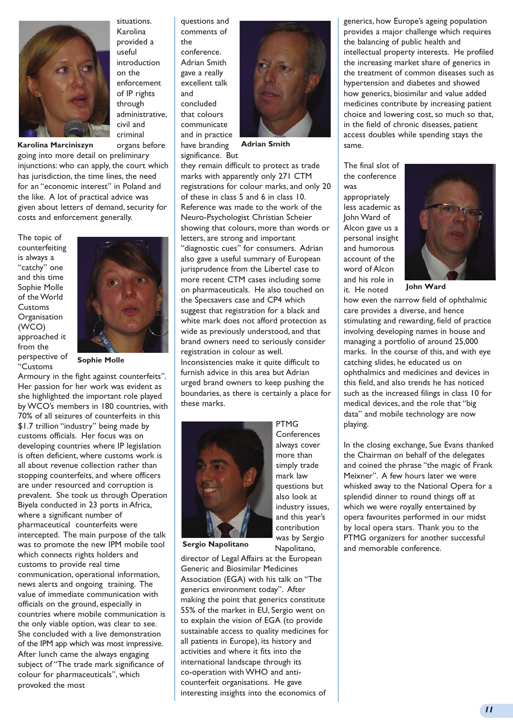

situations. Karolina provided a useful introduction on the enforcement of IP rights through administrative, civil and criminal organs before

**Karolina Marciniszyn**

going into more detail on preliminary injunctions: who can apply, the court which has jurisdiction, the time lines, the need for an "economic interest" in Poland and the like. A lot of practical advice was given about letters of demand, security for costs and enforcement generally.

The topic of counterfeiting is always a "catchy" one and this time Sophie Molle of the World Customs **Organisation** (WCO) approached it from the perspective of "Customs



**Sophie Molle**

Armoury in the fight against counterfeits". Her passion for her work was evident as she highlighted the important role played by WCO's members in 180 countries, with 70% of all seizures of counterfeits in this \$1.7 trillion "industry" being made by customs officials. Her focus was on developing countries where IP legislation is often deficient, where customs work is all about revenue collection rather than stopping counterfeits, and where officers are under resourced and corruption is prevalent. She took us through Operation Biyela conducted in 23 ports in Africa, where a significant number of pharmaceutical counterfeits were intercepted. The main purpose of the talk was to promote the new IPM mobile tool which connects rights holders and customs to provide real time communication, operational information, news alerts and ongoing training. The value of immediate communication with officials on the ground, especially in countries where mobile communication is the only viable option, was clear to see. She concluded with a live demonstration of the IPM app which was most impressive. After lunch came the always engaging subject of "The trade mark significance of colour for pharmaceuticals", which provoked the most

questions and comments of the conference. Adrian Smith gave a really excellent talk and concluded that colours communicate and in practice have branding significance. But



**Adrian Smith**

they remain difficult to protect as trade marks with apparently only 271 CTM registrations for colour marks, and only 20 of these in class 5 and 6 in class 10. Reference was made to the work of the Neuro-Psychologist Christian Scheier showing that colours, more than words or letters, are strong and important "diagnostic cues" for consumers. Adrian also gave a useful summary of European jurisprudence from the Libertel case to more recent CTM cases including some on pharmaceuticals. He also touched on the Specsavers case and CP4 which suggest that registration for a black and white mark does not afford protection as wide as previously understood, and that brand owners need to seriously consider registration in colour as well. Inconsistencies make it quite difficult to furnish advice in this area but Adrian urged brand owners to keep pushing the boundaries, as there is certainly a place for these marks.



**PTMG Conferences** always cover more than simply trade mark law questions but also look at industry issues, and this year's contribution was by Sergio Napolitano,

**Sergio Napolitano**

director of Legal Affairs at the European Generic and Biosimilar Medicines Association (EGA) with his talk on "The generics environment today". After making the point that generics constitute 55% of the market in EU, Sergio went on to explain the vision of EGA (to provide sustainable access to quality medicines for all patients in Europe), its history and activities and where it fits into the international landscape through its co-operation with WHO and anticounterfeit organisations. He gave interesting insights into the economics of

generics, how Europe's ageing population provides a major challenge which requires the balancing of public health and intellectual property interests. He profiled the increasing market share of generics in the treatment of common diseases such as hypertension and diabetes and showed how generics, biosimilar and value added medicines contribute by increasing patient choice and lowering cost, so much so that, in the field of chronic diseases, patient access doubles while spending stays the same.

The final slot of the conference was appropriately less academic as John Ward of Alcon gave us a personal insight and humorous account of the word of Alcon and his role in



**John Ward**

it. He noted how even the narrow field of ophthalmic care provides a diverse, and hence stimulating and rewarding, field of practice involving developing names in house and managing a portfolio of around 25,000 marks. In the course of this, and with eye catching slides, he educated us on ophthalmics and medicines and devices in this field, and also trends he has noticed such as the increased filings in class 10 for medical devices, and the role that "big data" and mobile technology are now playing.

In the closing exchange, Sue Evans thanked the Chairman on behalf of the delegates and coined the phrase "the magic of Frank Meixner". A few hours later we were whisked away to the National Opera for a splendid dinner to round things off at which we were royally entertained by opera favourites performed in our midst by local opera stars. Thank you to the PTMG organizers for another successful and memorable conference.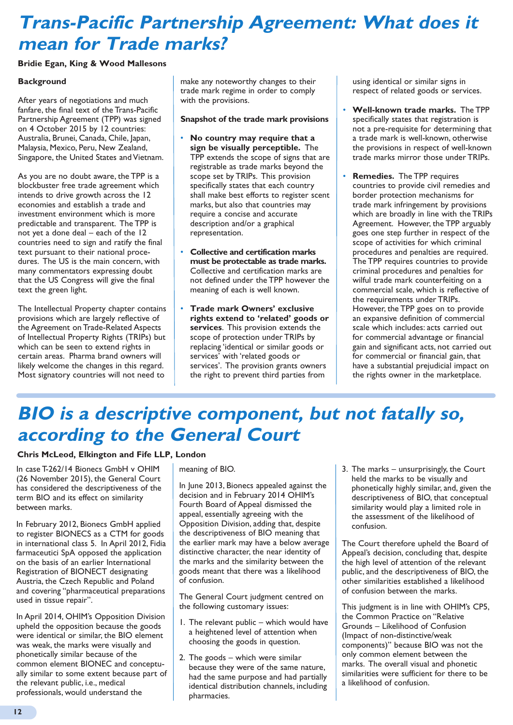### **Trans-Pacific Partnership Agreement: What does it mean for Trade marks?**

#### **Bridie Egan, King & Wood Mallesons**

#### **Background**

After years of negotiations and much fanfare, the final text of the Trans-Pacific Partnership Agreement (TPP) was signed on 4 October 2015 by 12 countries: Australia, Brunei, Canada, Chile, Japan, Malaysia, Mexico, Peru, New Zealand, Singapore, the United States and Vietnam.

As you are no doubt aware, the TPP is a blockbuster free trade agreement which intends to drive growth across the 12 economies and establish a trade and investment environment which is more predictable and transparent. The TPP is not yet a done deal – each of the 12 countries need to sign and ratify the final text pursuant to their national procedures. The US is the main concern, with many commentators expressing doubt that the US Congress will give the final text the green light.

The Intellectual Property chapter contains provisions which are largely reflective of the Agreement on Trade-Related Aspects of Intellectual Property Rights (TRIPs) but which can be seen to extend rights in certain areas. Pharma brand owners will likely welcome the changes in this regard. Most signatory countries will not need to

make any noteworthy changes to their trade mark regime in order to comply with the provisions.

#### **Snapshot of the trade mark provisions**

- **No country may require that a sign be visually perceptible.** The TPP extends the scope of signs that are registrable as trade marks beyond the scope set by TRIPs. This provision specifically states that each country shall make best efforts to register scent marks, but also that countries may require a concise and accurate description and/or a graphical representation.
- **Collective and certification marks must be protectable as trade marks.** Collective and certification marks are not defined under the TPP however the meaning of each is well known.
- **Trade mark Owners' exclusive rights extend to 'related' goods or services**. This provision extends the scope of protection under TRIPs by replacing 'identical or similar goods or services' with 'related goods or services'. The provision grants owners the right to prevent third parties from

using identical or similar signs in respect of related goods or services.

- **Well-known trade marks.** The TPP specifically states that registration is not a pre-requisite for determining that a trade mark is well-known, otherwise the provisions in respect of well-known trade marks mirror those under TRIPs.
- **Remedies.** The TPP requires countries to provide civil remedies and border protection mechanisms for trade mark infringement by provisions which are broadly in line with the TRIPs Agreement. However, the TPP arguably goes one step further in respect of the scope of activities for which criminal procedures and penalties are required. The TPP requires countries to provide criminal procedures and penalties for wilful trade mark counterfeiting on a commercial scale, which is reflective of the requirements under TRIPs. However, the TPP goes on to provide an expansive definition of commercial scale which includes: acts carried out for commercial advantage or financial gain and significant acts, not carried out for commercial or financial gain, that have a substantial prejudicial impact on the rights owner in the marketplace.

### **BIO is a descriptive component, but not fatally so, according to the General Court**

#### **Chris McLeod, Elkington and Fife LLP, London**

In case T-262/14 Bionecs GmbH v OHIM (26 November 2015), the General Court has considered the descriptiveness of the term BIO and its effect on similarity between marks.

In February 2012, Bionecs GmbH applied to register BIONECS as a CTM for goods in international class 5. In April 2012, Fidia farmaceutici SpA opposed the application on the basis of an earlier International Registration of BIONECT designating Austria, the Czech Republic and Poland and covering "pharmaceutical preparations used in tissue repair".

In April 2014, OHIM's Opposition Division upheld the opposition because the goods were identical or similar, the BIO element was weak, the marks were visually and phonetically similar because of the common element BIONEC and conceptually similar to some extent because part of the relevant public, i.e., medical professionals, would understand the

#### meaning of BIO.

In June 2013, Bionecs appealed against the decision and in February 2014 OHIM's Fourth Board of Appeal dismissed the appeal, essentially agreeing with the Opposition Division, adding that, despite the descriptiveness of BIO meaning that the earlier mark may have a below average distinctive character, the near identity of the marks and the similarity between the goods meant that there was a likelihood of confusion.

The General Court judgment centred on the following customary issues:

- 1. The relevant public which would have a heightened level of attention when choosing the goods in question.
- 2. The goods which were similar because they were of the same nature, had the same purpose and had partially identical distribution channels, including pharmacies.

3. The marks – unsurprisingly, the Court held the marks to be visually and phonetically highly similar, and, given the descriptiveness of BIO, that conceptual similarity would play a limited role in the assessment of the likelihood of confusion.

The Court therefore upheld the Board of Appeal's decision, concluding that, despite the high level of attention of the relevant public, and the descriptiveness of BIO, the other similarities established a likelihood of confusion between the marks.

This judgment is in line with OHIM's CP5, the Common Practice on "Relative Grounds – Likelihood of Confusion (Impact of non-distinctive/weak components)" because BIO was not the only common element between the marks. The overall visual and phonetic similarities were sufficient for there to be a likelihood of confusion.